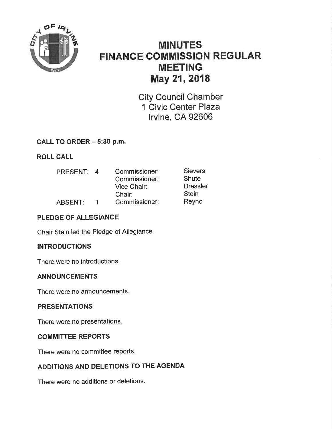

# **MINUTES FINANCE COMMISSION REGULAR MEETING** May 21, 2018

**City Council Chamber** 1 Civic Center Plaza Irvine, CA 92606

# CALL TO ORDER - 5:30 p.m.

**ROLL CALL** 

| <b>PRESENT:</b> | $\overline{a}$ | Commissioner:<br>Commissioner:<br>Vice Chair:<br>Chair: | <b>Sievers</b><br><b>Shute</b><br><b>Dressler</b><br><b>Stein</b> |
|-----------------|----------------|---------------------------------------------------------|-------------------------------------------------------------------|
| <b>ABSENT:</b>  |                | Commissioner:                                           | Reyno                                                             |

# PLEDGE OF ALLEGIANCE

Chair Stein led the Pledge of Allegiance.

# **INTRODUCTIONS**

There were no introductions.

# **ANNOUNCEMENTS**

There were no announcements.

# **PRESENTATIONS**

There were no presentations.

# **COMMITTEE REPORTS**

There were no committee reports.

# ADDITIONS AND DELETIONS TO THE AGENDA

There were no additions or deletions.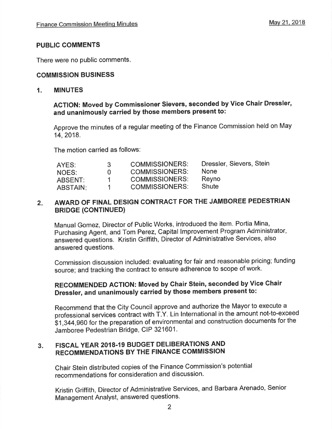# PUBLIC COMMENTS

There were no public comments

# COMMISSION BUSINESS

#### 1. MINUTES

# AGTION: Moved by Commissioner Sievers, seconded by Vice Ghair Dressler, and unanimously carried by those members present to:

Approve the minutes of a regular meeting of the Finance Commission held on May 14,2018.

The motion carried as follows:

| AYES:    | 3           | <b>COMMISSIONERS:</b> | Dressler, Sievers, Stein |
|----------|-------------|-----------------------|--------------------------|
| NOES:    | $^{\prime}$ | <b>COMMISSIONERS:</b> | <b>None</b>              |
| ABSENT:  | .1.         | <b>COMMISSIONERS:</b> | Reyno                    |
| ABSTAIN: |             | <b>COMMISSIONERS:</b> | Shute                    |

# 2. AWARD OF FINAL DESIGN CONTRACT FOR THE JAMBOREE PEDESTRIAN BRIDGE (CONTINUED)

Manual Gomez, Director of Public Works, introduced the item. Portia Mina, purchasing Agent, and Tom Perez, Capital lmprovement Program Administrator, answered questions. Kristin Griffith, Director of Administrative Services, also answered questions.

Commission discussion included: evaluating for fair and reasonable pricing; funding source; and tracking the contract to ensure adherence to scope of work.

# RECOMMENDED ACTION: Moved by Chair Stein, seconded by Vice Ghair Dressler, and unanimously carried by those members present to:

Recommend that the City Council approve and authorize the Mayor to execute <sup>a</sup> professional services coñtract with T.Y, Lin lnternational in the amount not-to-exceed \$1,344,960 for the preparation of environmental and construction documents for the Jamboree Pedestrian Bridge, CIP 321601.

#### 3. FISCAL YEAR 2018.19 BUDGET DELIBERATIONS AND RECOMMENDATIONS BY THE FINANGE COMMISSION

Chair Stein distributed copies of the Finance Commission's potential recommendations for consideration and discussion.

Kristin Griffith, Director of Administrative Services, and Barbara Arenado, Senior Management Analyst, answered questions.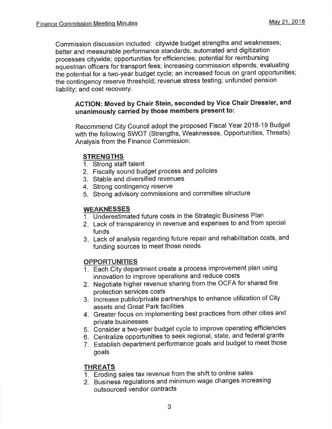Commission discussion included: citywide budget strengths and weaknesses; better and measurable performance standards; automated and digitization processes citywide; opportunities for efficiencies; potential for reimbursing equestrian officers for transport fees; increasing commission stipends; evaluating the potential for a two-year budget cycle; an increased focus on grant opportunities; the contingency reserve threshold; revenue stress testing; unfunded pension liability; and cost recovery.

# ACTION: Moved by Ghair Stein, seconded by Vice Chair Dressler, and unanimously carried by those members present to:

Recommend City Council adopt the proposed Fiscal Year 2018-19 Budget with the following SWOT (Strengths, Weaknesses, Opportunities, Threats) Analysis from the Finance Commission:

# **STRENGTHS**

- 1. Strong staff talent
- 2. Fiscally sound budget process and policies
- 3. Stable and diversified revenues
- 4. Strong contingency reserve
- 5. Strong advisory commissions and committee structure

# **WEAKNESSES**

- Underestimated future costs in the Strategic Business Plan 1
- Lack of transparency in revenue and expenses to and from special 2 funds
- Lack of analysis regarding future repair and rehabilitation costs, and 3 funding sources to meet those needs

#### **OPPORTUNITIES**

- 1. Each City department create a process improvement plan using innovation to improve operations and reduce costs
- 2. Negotiate higher revenue sharing from the OCFA for shared fire protection services costs
- 3. increase public/private partnerships to enhance utilization of City assets and Great Park facilities
- 4. Greater focus on implementing best practices from other cities and private businesses
- 5. Consider a two-year budget cycle to improve operating efficiencies
- 6. Centralize opportunities to seek regional, state, and federal grants
- 7. Establish department performance goals and budget to meet those goals

#### **THREATS**

- 1. Eroding sales tax revenue from the shift to online sales
- 2. Business regulations and minim um wage changes increasing outsourced vendor contracts